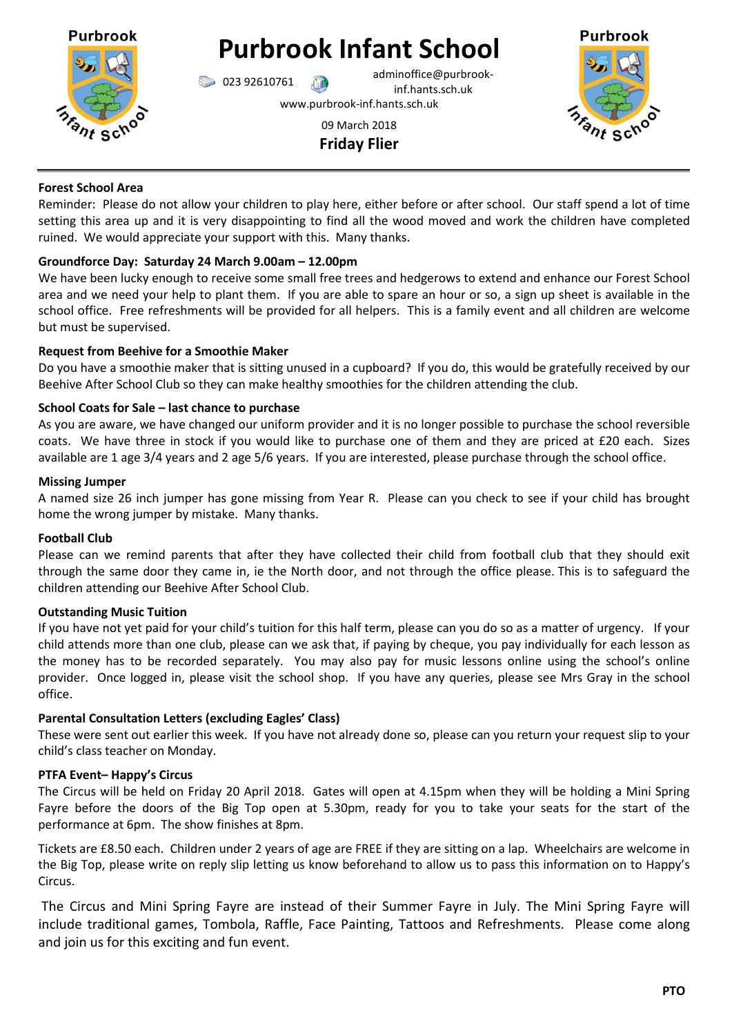

# **Purbrook Infant School**

**123 92610761** adminoffice@purbrookinf.hants.sch.uk

www.purbrook-inf.hants.sch.uk

## 09 March 2018 **Friday Flier**



#### **Forest School Area**

Reminder: Please do not allow your children to play here, either before or after school. Our staff spend a lot of time setting this area up and it is very disappointing to find all the wood moved and work the children have completed ruined. We would appreciate your support with this. Many thanks.

## **Groundforce Day: Saturday 24 March 9.00am – 12.00pm**

We have been lucky enough to receive some small free trees and hedgerows to extend and enhance our Forest School area and we need your help to plant them. If you are able to spare an hour or so, a sign up sheet is available in the school office. Free refreshments will be provided for all helpers. This is a family event and all children are welcome but must be supervised.

## **Request from Beehive for a Smoothie Maker**

Do you have a smoothie maker that is sitting unused in a cupboard? If you do, this would be gratefully received by our Beehive After School Club so they can make healthy smoothies for the children attending the club.

## **School Coats for Sale – last chance to purchase**

As you are aware, we have changed our uniform provider and it is no longer possible to purchase the school reversible coats. We have three in stock if you would like to purchase one of them and they are priced at £20 each. Sizes available are 1 age 3/4 years and 2 age 5/6 years. If you are interested, please purchase through the school office.

## **Missing Jumper**

A named size 26 inch jumper has gone missing from Year R. Please can you check to see if your child has brought home the wrong jumper by mistake. Many thanks.

## **Football Club**

Please can we remind parents that after they have collected their child from football club that they should exit through the same door they came in, ie the North door, and not through the office please. This is to safeguard the children attending our Beehive After School Club.

## **Outstanding Music Tuition**

If you have not yet paid for your child's tuition for this half term, please can you do so as a matter of urgency. If your child attends more than one club, please can we ask that, if paying by cheque, you pay individually for each lesson as the money has to be recorded separately. You may also pay for music lessons online using the school's online provider. Once logged in, please visit the school shop. If you have any queries, please see Mrs Gray in the school office.

## **Parental Consultation Letters (excluding Eagles' Class)**

These were sent out earlier this week. If you have not already done so, please can you return your request slip to your child's class teacher on Monday.

## **PTFA Event– Happy's Circus**

The Circus will be held on Friday 20 April 2018. Gates will open at 4.15pm when they will be holding a Mini Spring Fayre before the doors of the Big Top open at 5.30pm, ready for you to take your seats for the start of the performance at 6pm. The show finishes at 8pm.

Tickets are £8.50 each. Children under 2 years of age are FREE if they are sitting on a lap. Wheelchairs are welcome in the Big Top, please write on reply slip letting us know beforehand to allow us to pass this information on to Happy's Circus.

The Circus and Mini Spring Fayre are instead of their Summer Fayre in July. The Mini Spring Fayre will include traditional games, Tombola, Raffle, Face Painting, Tattoos and Refreshments. Please come along and join us for this exciting and fun event.